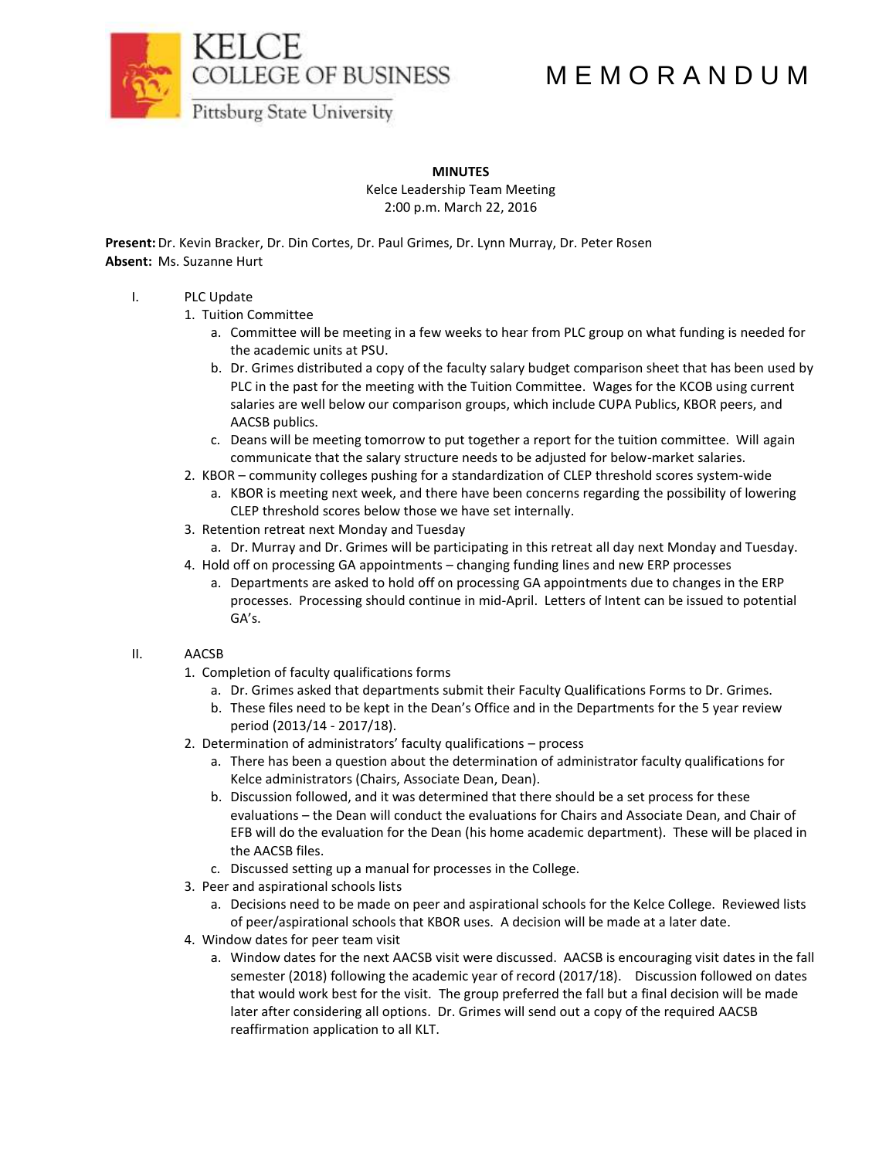

# M E M O R A N D U M

Pittsburg State University

# **MINUTES**

Kelce Leadership Team Meeting 2:00 p.m. March 22, 2016

**Present:**Dr. Kevin Bracker, Dr. Din Cortes, Dr. Paul Grimes, Dr. Lynn Murray, Dr. Peter Rosen **Absent:** Ms. Suzanne Hurt

# I. PLC Update

- 1. Tuition Committee
	- a. Committee will be meeting in a few weeks to hear from PLC group on what funding is needed for the academic units at PSU.
	- b. Dr. Grimes distributed a copy of the faculty salary budget comparison sheet that has been used by PLC in the past for the meeting with the Tuition Committee. Wages for the KCOB using current salaries are well below our comparison groups, which include CUPA Publics, KBOR peers, and AACSB publics.
	- c. Deans will be meeting tomorrow to put together a report for the tuition committee. Will again communicate that the salary structure needs to be adjusted for below-market salaries.
- 2. KBOR community colleges pushing for a standardization of CLEP threshold scores system-wide
	- a. KBOR is meeting next week, and there have been concerns regarding the possibility of lowering CLEP threshold scores below those we have set internally.
- 3. Retention retreat next Monday and Tuesday
	- a. Dr. Murray and Dr. Grimes will be participating in this retreat all day next Monday and Tuesday.
- 4. Hold off on processing GA appointments changing funding lines and new ERP processes
	- a. Departments are asked to hold off on processing GA appointments due to changes in the ERP processes. Processing should continue in mid-April. Letters of Intent can be issued to potential GA's.

# II. AACSB

- 1. Completion of faculty qualifications forms
	- a. Dr. Grimes asked that departments submit their Faculty Qualifications Forms to Dr. Grimes.
	- b. These files need to be kept in the Dean's Office and in the Departments for the 5 year review period (2013/14 - 2017/18).
- 2. Determination of administrators' faculty qualifications process
	- a. There has been a question about the determination of administrator faculty qualifications for Kelce administrators (Chairs, Associate Dean, Dean).
	- b. Discussion followed, and it was determined that there should be a set process for these evaluations – the Dean will conduct the evaluations for Chairs and Associate Dean, and Chair of EFB will do the evaluation for the Dean (his home academic department). These will be placed in the AACSB files.
	- c. Discussed setting up a manual for processes in the College.
- 3. Peer and aspirational schools lists
	- a. Decisions need to be made on peer and aspirational schools for the Kelce College. Reviewed lists of peer/aspirational schools that KBOR uses. A decision will be made at a later date.
- 4. Window dates for peer team visit
	- a. Window dates for the next AACSB visit were discussed. AACSB is encouraging visit dates in the fall semester (2018) following the academic year of record (2017/18). Discussion followed on dates that would work best for the visit. The group preferred the fall but a final decision will be made later after considering all options. Dr. Grimes will send out a copy of the required AACSB reaffirmation application to all KLT.